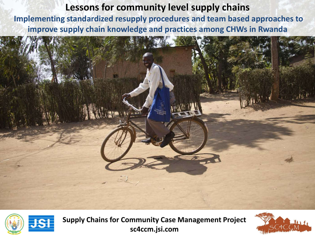### **Lessons for community level supply chains**

**Implementing standardized resupply procedures and team based approaches to improve supply chain knowledge and practices among CHWs in Rwanda**





**Supply Chains for Community Case Management Project sc4ccm.jsi.com**

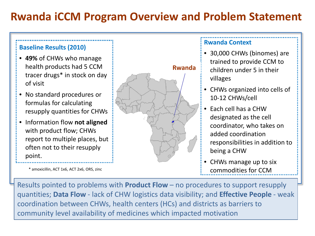# **Rwanda iCCM Program Overview and Problem Statement**

#### **Baseline Results (2010)**

- **49%** of CHWs who manage health products had 5 CCM tracer drugs\* in stock on day of visit
- No standard procedures or formulas for calculating resupply quantities for CHWs
- Information flow **not aligned**  with product flow; CHWs report to multiple places, but often not to their resupply point.



### **Rwanda Context**

- 30,000 CHWs (binomes) are trained to provide CCM to children under 5 in their villages
- CHWs organized into cells of 10-12 CHWs/cell
- Each cell has a CHW designated as the cell coordinator, who takes on added coordination responsibilities in addition to being a CHW
- CHWs manage up to six commodities for CCM

Results pointed to problems with **Product Flow** – no procedures to support resupply quantities; **Data Flow** - lack of CHW logistics data visibility; and **Effective People** - weak coordination between CHWs, health centers (HCs) and districts as barriers to community level availability of medicines which impacted motivation

\* amoxicillin, ACT 1x6, ACT 2x6, ORS, zinc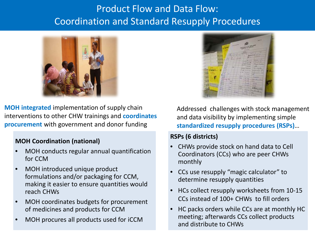## Product Flow and Data Flow: Coordination and Standard Resupply Procedures



**MOH integrated** implementation of supply chain interventions to other CHW trainings and **coordinates procurement** with government and donor funding

#### **MOH Coordination (national)**

- MOH conducts regular annual quantification for CCM
- MOH introduced unique product formulations and/or packaging for CCM, making it easier to ensure quantities would reach CHWs
- MOH coordinates budgets for procurement of medicines and products for CCM
- MOH procures all products used for iCCM



Addressed challenges with stock management and data visibility by implementing simple **standardized resupply procedures (RSPs)**…

### **RSPs (6 districts)**

- CHWs provide stock on hand data to Cell Coordinators (CCs) who are peer CHWs monthly
- CCs use resupply "magic calculator" to determine resupply quantities
- HCs collect resupply worksheets from 10-15 CCs instead of 100+ CHWs to fill orders
- HC packs orders while CCs are at monthly HC meeting; afterwards CCs collect products and distribute to CHWs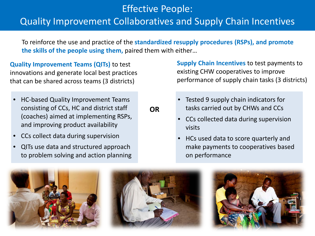## Effective People: Quality Improvement Collaboratives and Supply Chain Incentives

To reinforce the use and practice of the **standardized resupply procedures (RSPs), and promote the skills of the people using them,** paired them with either…

**OR**

**Quality Improvement Teams (QITs)** to test innovations and generate local best practices that can be shared across teams (3 districts)

- HC-based Quality Improvement Teams consisting of CCs, HC and district staff (coaches) aimed at implementing RSPs, and improving product availability
- CCs collect data during supervision
- QITs use data and structured approach to problem solving and action planning

**Supply Chain Incentives** to test payments to existing CHW cooperatives to improve performance of supply chain tasks (3 districts)

- Tested 9 supply chain indicators for tasks carried out by CHWs and CCs
- CCs collected data during supervision visits
- HCs used data to score quarterly and make payments to cooperatives based on performance





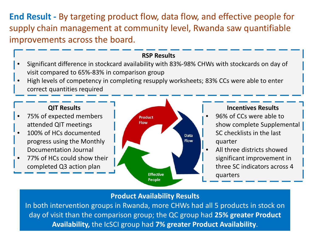**End Result -** By targeting product flow, data flow, and effective people for supply chain management at community level, Rwanda saw quantifiable improvements across the board.

#### **RSP Results**

- Significant difference in stockcard availability with 83%-98% CHWs with stockcards on day of visit compared to 65%-83% in comparison group
- High levels of competency in completing resupply worksheets; 83% CCs were able to enter correct quantities required

#### **QIT Results**

- 75% of expected members attended QIT meetings
- 100% of HCs documented progress using the Monthly Documentation Journal
- 77% of HCs could show their completed Q3 action plan



### **Incentives Results**

- 96% of CCs were able to show complete Supplemental SC checklists in the last quarter
- All three districts showed significant improvement in three SC indicators across 4 quarters

### **Product Availability Results**

re<br>. lc<br>— In both intervention groups in Rwanda, more CHWs had all 5 products in stock on day of visit than the comparison group; the QC group had **25% greater Product Availability,** the IcSCI group had **7% greater Product Availability**.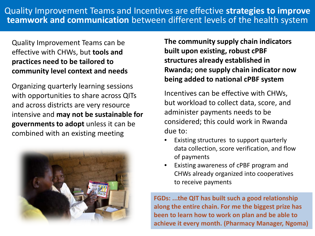### Quality Improvement Teams can be effective with CHWs, but **tools and practices need to be tailored to community level context and needs**

Organizing quarterly learning sessions with opportunities to share across QITs and across districts are very resource intensive and **may not be sustainable for governments to adopt** unless it can be combined with an existing meeting



**The community supply chain indicators built upon existing, robust cPBF structures already established in Rwanda; one supply chain indicator now being added to national cPBF system**

Incentives can be effective with CHWs, but workload to collect data, score, and administer payments needs to be considered; this could work in Rwanda due to:

- Existing structures to support quarterly data collection, score verification, and flow of payments
- Existing awareness of cPBF program and CHWs already organized into cooperatives to receive payments

**FGDs: ...the QIT has built such a good relationship along the entire chain. For me the biggest prize has been to learn how to work on plan and be able to achieve it every month. (Pharmacy Manager, Ngoma)**